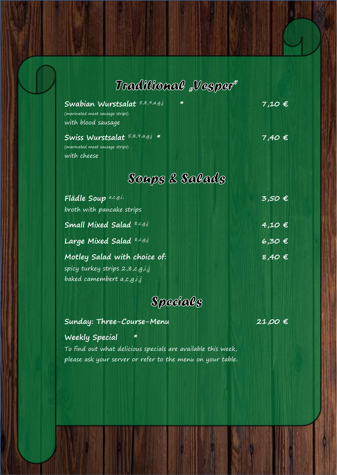## *Vorspeisen & Vesper:*

*Speisen zur Abholung:* 

| (marinated meat sausage strips)<br>with blood sausage | Swabian Wurstsalat 5,8,9,a,g,j   | $\ast$         | $7,10$ $\in$    |
|-------------------------------------------------------|----------------------------------|----------------|-----------------|
| (marinated meat sausage strips)<br>with cheese        | Swiss Wurstsalat 5,8,9,a,g,j *   |                | $7,40 \in$      |
|                                                       |                                  | Soups & Salads |                 |
| Flädle Soup a,c,g,i,                                  | broth with pancake strips        |                | $3,50$ $\in$    |
|                                                       | <b>Small Mixed Salad 8,c,g,j</b> |                | $4,10$ $\in$    |
|                                                       | Large Mixed Salad 8,c,g,j        |                | 6,30 $\epsilon$ |
|                                                       | Motley Salad with choice of:     |                | 8,40 $\epsilon$ |

**Schnitzel "Wiener Art"** baked camembert a,c,g,i,j spicy turkey strips 2,8,c,g,i,j

 $S$ pocials

#### **Cordon bleu Sunday: Three-Course-Menu 21,00 €**

**13,70 €**

**11,50€**

#### **Example 20 Weekly Special \*** mit Pommes

Schweinemedaillons mit Pilzrahmsoße, Käs´spätzle und

mit Pommes

**s´ Joggel Pfännle** 

gemischter Salat

please ask your server or refer to the menu on your table. To find out what delicious specials are available this week,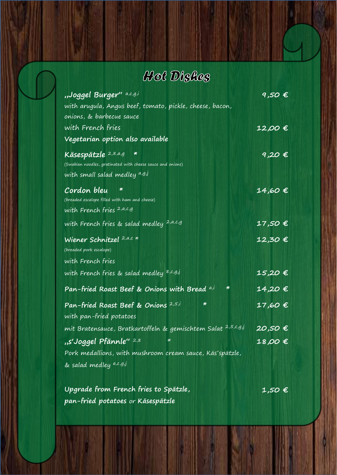# Hot Dishes

| "Joggel Burger" a,c,g,i                                                 | $9,50$ $\in$ |
|-------------------------------------------------------------------------|--------------|
| with arugula, Angus beef, tomato, pickle, cheese, bacon,                |              |
| onions, & barbecue sauce                                                |              |
| with French fries                                                       | 12,00 €      |
| Vegetarian option also available                                        |              |
| Käsespätzle 2,8,a,g *                                                   | 9,20 €       |
| (Swabian noodles, gratinated with cheese sauce and onions)              |              |
| with small salad medley a,g.j                                           |              |
| Cordon bleu                                                             | 14,60 €      |
| (breaded escalope filled with ham and cheese)                           |              |
| with French fries <sup>2,a,c,g</sup>                                    |              |
| with French fries & salad medley 2,a,c,g                                | 17,50 €      |
| Wiener Schnitzel 2,a,c *                                                | 12,30 €      |
| (breaded pork escalope)                                                 |              |
| with French fries                                                       |              |
| with French fries & salad medley 8,c,g,j                                | 15,20 €      |
| ₩<br>Pan-fried Roast Beef & Onions with Bread a,i                       | 14,20€       |
| ₩<br>Pan-fried Roast Beef & Onions 2,5,i                                | 17,60 €      |
| with pan-fried potatoes                                                 |              |
| mit Bratensauce, Bratkartoffeln & gemischtem Salat <sup>2,5,c,g,j</sup> | 20,50 €      |
| "s'Joggel Pfännle" 2,8<br>$\ast$                                        | 18,00 €      |
| Pork medallions, with mushroom cream sauce, Käs'spätzle,                |              |
| & salad medley a,c,g,j                                                  |              |

**Upgrade from French fries to Spätzle, pan-fried potatoes** or **Käsespätzle 1,50 €**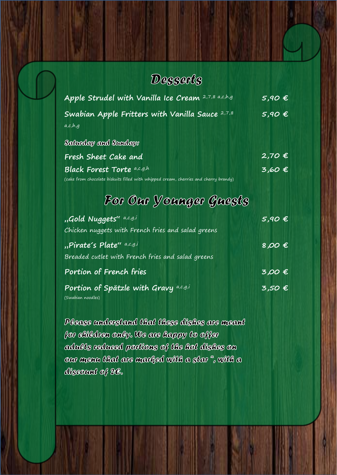### Desserts

| Apple Strudel with Vanilla Ice Cream 2,7,8 a,c,h,g                                                                        | $5,90$ €             |
|---------------------------------------------------------------------------------------------------------------------------|----------------------|
| Swabian Apple Fritters with Vanilla Sauce 2,7,8<br>a,c,h,q                                                                | 5,90E                |
| Salarday and Sanday:                                                                                                      |                      |
| Fresh Sheet Cake and                                                                                                      | $2,70$ €             |
| <b>Black Forest Torte</b> a,c,g,h<br>(cake from chocolate biskuits filled with whipped cream, cherries and cherry brandy) | $3,60$ $\varepsilon$ |

## For Our Younger Guests

| "Gold Nuggets" a,c,g,i                             | $5,90$ $\varepsilon$    |
|----------------------------------------------------|-------------------------|
| Chicken nuggets with French fries and salad greens |                         |
| "Pirate's Plate" a,c,g,i                           | 8,00 $\notin$           |
| Breaded cutlet with French fries and salad greens  |                         |
| Portion of French fries                            | 3,00E                   |
| Portion of Spätzle with Gravy a,c,g,i              | $\overline{3,50}$ $\in$ |
| (Swabian noodles)                                  |                         |

Please understand that these dishes are meant for elitedren only. We are happy to offer adalis redaced portions of the hot dishes on oar ayenn lihat are ayarked with a star ", with a discount of 2C.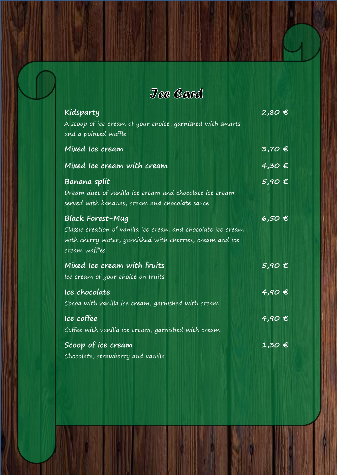Jee Card

| Kidsparty                                                                                                                                                              | 2,80 €            |
|------------------------------------------------------------------------------------------------------------------------------------------------------------------------|-------------------|
| A scoop of ice cream of your choice, garnished with smarts<br>and a pointed waffle                                                                                     |                   |
| Mixed Ice cream                                                                                                                                                        | 3,70 €            |
| Mixed Ice cream with cream                                                                                                                                             | 4,30€             |
| Banana split<br>Dream duet of vanilla ice cream and chocolate ice cream<br>served with bananas, cream and chocolate sauce                                              | $5,90$ $\in$      |
| <b>Black Forest-Mug</b><br>Classic creation of vanilla ice cream and chocolate ice cream<br>with cherry water, garnished with cherries, cream and ice<br>cream waffles | 6,50€             |
| Mixed Ice cream with fruits<br>Ice cream of your choice on fruits                                                                                                      | $5,90$ $\in$      |
| Ice chocolate<br>Cocoa with vanilla ice cream, garnished with cream                                                                                                    | 4,90E             |
| Ice coffee<br>Coffee with vanilla ice cream, garnished with cream                                                                                                      | $4,90$ $\in$      |
| Scoop of ice cream<br>Chocolate, strawberry and vanilla                                                                                                                | $1,30$ $\epsilon$ |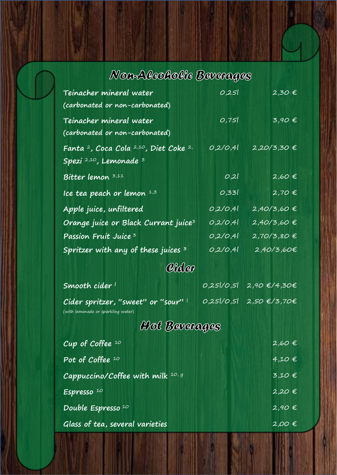# Non-Aleoholie Baverages

| Teinacher mineral water                                                   | 0,251       | $2,30 \notin$                   |  |
|---------------------------------------------------------------------------|-------------|---------------------------------|--|
| (carbonated or non-carbonated)                                            |             |                                 |  |
| Teinacher mineral water                                                   | 0,751       | $3,90 \text{ E}$                |  |
| (carbonated or non-carbonated)                                            |             |                                 |  |
| Fanta <sup>2</sup> , Coca Cola <sup>2,10</sup> , Diet Coke <sup>2,</sup>  | 0,2/0,4l    | 2,20/3,30 €                     |  |
| Spezi 2,10, Lemonade 3                                                    |             |                                 |  |
| Bitter lemon 3,11                                                         | 0,21        | $2,60 \in$                      |  |
| Ice tea peach or lemon $1,5$                                              | 0,33        | $2,70 \in$                      |  |
| Apple juice, unfiltered                                                   | 0,2/0,4     | 2,40/3,60 €                     |  |
| Orange juice or Black Currant juice <sup>3</sup>                          | 0,2/0,41    | 2,40/3,60 €                     |  |
| Passion Fruit Juice <sup>3</sup>                                          | 0,2/0,41    | $2,70/3,80 \in$                 |  |
| Spritzer with any of these juices $^3$                                    | 0,2/0,4l    | 2,40/3,60€                      |  |
| Cideo                                                                     |             |                                 |  |
| Smooth cider !                                                            | 0,25 / 25 ر | $2,90 \text{ E}/4,30 \text{ E}$ |  |
| Cider spritzer, "sweet" or "sour" l<br>(with lemonade or sparkling water) | 25 /0,5     | 2,50 €/3,70€                    |  |
| Hot Beverages                                                             |             |                                 |  |
| Cup of Coffee $10$                                                        |             | $2,60 \in$                      |  |
| Pot of Coffee <sup>10</sup>                                               |             | $4,10$ $\in$                    |  |
| Cappuccino/Coffee with milk 10, g                                         |             | 3,10 €                          |  |
| Espresso <sup>10</sup>                                                    |             | $2,20 \in$                      |  |
| Double Espresso <sup>10</sup>                                             |             | $2,90 \in$                      |  |
| Glass of tea, several varieties                                           |             | $2,00$ $\in$                    |  |
|                                                                           |             |                                 |  |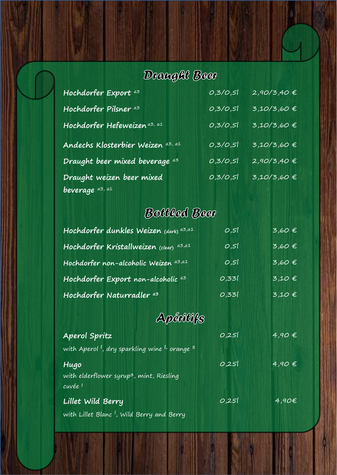# Draught Beer

| Hochdorfer Export a3              | 0,3/0,5 | $2,90/3,40 \notin$ |
|-----------------------------------|---------|--------------------|
| Hochdorfer Pilsner <sup>a3</sup>  | 0,3/0,5 | $3,10/3,60$ €      |
| Hochdorfer Hefeweizen a3, a1      | 0,3/0,5 | $3,10/3,60$ €      |
| Andechs Klosterbier Weizen az, a1 | 0,3/0,5 | $3,10/3,60$ €      |
| Draught beer mixed beverage as    | 0,3/0,5 | $2,90/3,40 \notin$ |
| Draught weizen beer mixed         | 0,3/0,5 | $3,10/3,60$ €      |
| beverage as, al                   |         |                    |

# Bottled Beer

| Hochdorfer dunkles Weizen (dark) az, a1       | 0,51  | 3,60E        |
|-----------------------------------------------|-------|--------------|
| Hochdorfer Kristallweizen (clear) a3,a1       | 0,51  | $3,60$ €     |
| Hochdorfer non-alcoholic Weizen a3,a1         | 0,51  | $3,60$ €     |
| Hochdorfer Export non-alcoholic <sup>a3</sup> | 0,331 | $3,10$ $\in$ |
| Hochdorfer Naturradler a3                     | 0,331 | $3,10$ $\in$ |

# Apéritifs

| Aperol Spritz                                                                    | 0,251 | $4,90 \in$        |
|----------------------------------------------------------------------------------|-------|-------------------|
| with Aperol <sup>1</sup> , dry sparkling wine <sup>1</sup> , orange <sup>8</sup> |       |                   |
| Hugo<br>with elderflower syrup <sup>3</sup> , mint, Riesling<br>cuvée 1          | 0,251 | $4,90 \in$        |
| Lillet Wild Berry<br>with Lillet Blanc <sup>1</sup> , Wild Berry and Berry       | 0,251 | $\overline{4,90}$ |